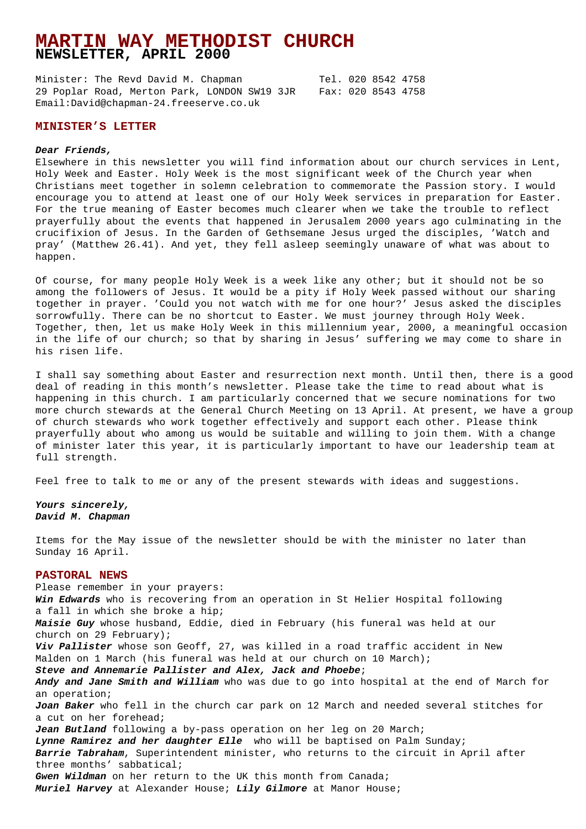# **MARTIN WAY METHODIST CHURCH NEWSLETTER, APRIL 2000**

Minister: The Revd David M. Chapman Tel. 020 8542 4758 29 Poplar Road, Merton Park, LONDON SW19 3JR Fax: 020 8543 4758 Email:David@chapman-24.freeserve.co.uk

## **MINISTER'S LETTER**

#### **Dear Friends,**

Elsewhere in this newsletter you will find information about our church services in Lent, Holy Week and Easter. Holy Week is the most significant week of the Church year when Christians meet together in solemn celebration to commemorate the Passion story. I would encourage you to attend at least one of our Holy Week services in preparation for Easter. For the true meaning of Easter becomes much clearer when we take the trouble to reflect prayerfully about the events that happened in Jerusalem 2000 years ago culminating in the crucifixion of Jesus. In the Garden of Gethsemane Jesus urged the disciples, 'Watch and pray' (Matthew 26.41). And yet, they fell asleep seemingly unaware of what was about to happen.

Of course, for many people Holy Week is a week like any other; but it should not be so among the followers of Jesus. It would be a pity if Holy Week passed without our sharing together in prayer. 'Could you not watch with me for one hour?' Jesus asked the disciples sorrowfully. There can be no shortcut to Easter. We must journey through Holy Week. Together, then, let us make Holy Week in this millennium year, 2000, a meaningful occasion in the life of our church; so that by sharing in Jesus' suffering we may come to share in his risen life.

I shall say something about Easter and resurrection next month. Until then, there is a good deal of reading in this month's newsletter. Please take the time to read about what is happening in this church. I am particularly concerned that we secure nominations for two more church stewards at the General Church Meeting on 13 April. At present, we have a group of church stewards who work together effectively and support each other. Please think prayerfully about who among us would be suitable and willing to join them. With a change of minister later this year, it is particularly important to have our leadership team at full strength.

Feel free to talk to me or any of the present stewards with ideas and suggestions.

**Yours sincerely, David M. Chapman**

Items for the May issue of the newsletter should be with the minister no later than Sunday 16 April.

## **PASTORAL NEWS**

Please remember in your prayers: **Win Edwards** who is recovering from an operation in St Helier Hospital following a fall in which she broke a hip; **Maisie Guy** whose husband, Eddie, died in February (his funeral was held at our church on 29 February); **Viv Pallister** whose son Geoff, 27, was killed in a road traffic accident in New Malden on 1 March (his funeral was held at our church on 10 March); **Steve and Annemarie Pallister and Alex, Jack and Phoebe**; **Andy and Jane Smith and William** who was due to go into hospital at the end of March for an operation; **Joan Baker** who fell in the church car park on 12 March and needed several stitches for a cut on her forehead; **Jean Butland** following a by-pass operation on her leg on 20 March; **Lynne Ramirez and her daughter Elle** who will be baptised on Palm Sunday; **Barrie Tabraham**, Superintendent minister, who returns to the circuit in April after three months' sabbatical; **Gwen Wildman** on her return to the UK this month from Canada; **Muriel Harvey** at Alexander House; **Lily Gilmore** at Manor House;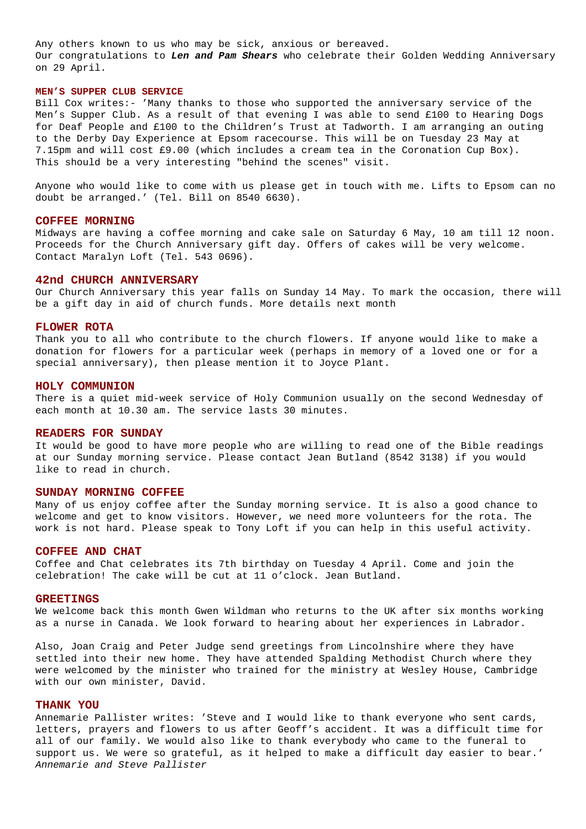Any others known to us who may be sick, anxious or bereaved. Our congratulations to **Len and Pam Shears** who celebrate their Golden Wedding Anniversary on 29 April.

### **MEN'S SUPPER CLUB SERVICE**

Bill Cox writes:- 'Many thanks to those who supported the anniversary service of the Men's Supper Club. As a result of that evening I was able to send £100 to Hearing Dogs for Deaf People and £100 to the Children's Trust at Tadworth. I am arranging an outing to the Derby Day Experience at Epsom racecourse. This will be on Tuesday 23 May at 7.15pm and will cost £9.00 (which includes a cream tea in the Coronation Cup Box). This should be a very interesting "behind the scenes" visit.

Anyone who would like to come with us please get in touch with me. Lifts to Epsom can no doubt be arranged.' (Tel. Bill on 8540 6630).

#### **COFFEE MORNING**

Midways are having a coffee morning and cake sale on Saturday 6 May, 10 am till 12 noon. Proceeds for the Church Anniversary gift day. Offers of cakes will be very welcome. Contact Maralyn Loft (Tel. 543 0696).

## **42nd CHURCH ANNIVERSARY**

Our Church Anniversary this year falls on Sunday 14 May. To mark the occasion, there will be a gift day in aid of church funds. More details next month

#### **FLOWER ROTA**

Thank you to all who contribute to the church flowers. If anyone would like to make a donation for flowers for a particular week (perhaps in memory of a loved one or for a special anniversary), then please mention it to Joyce Plant.

### **HOLY COMMUNION**

There is a quiet mid-week service of Holy Communion usually on the second Wednesday of each month at 10.30 am. The service lasts 30 minutes.

### **READERS FOR SUNDAY**

It would be good to have more people who are willing to read one of the Bible readings at our Sunday morning service. Please contact Jean Butland (8542 3138) if you would like to read in church.

## **SUNDAY MORNING COFFEE**

Many of us enjoy coffee after the Sunday morning service. It is also a good chance to welcome and get to know visitors. However, we need more volunteers for the rota. The work is not hard. Please speak to Tony Loft if you can help in this useful activity.

#### **COFFEE AND CHAT**

Coffee and Chat celebrates its 7th birthday on Tuesday 4 April. Come and join the celebration! The cake will be cut at 11 o'clock. Jean Butland.

#### **GREETINGS**

We welcome back this month Gwen Wildman who returns to the UK after six months working as a nurse in Canada. We look forward to hearing about her experiences in Labrador.

Also, Joan Craig and Peter Judge send greetings from Lincolnshire where they have settled into their new home. They have attended Spalding Methodist Church where they were welcomed by the minister who trained for the ministry at Wesley House, Cambridge with our own minister, David.

## **THANK YOU**

Annemarie Pallister writes: 'Steve and I would like to thank everyone who sent cards, letters, prayers and flowers to us after Geoff's accident. It was a difficult time for all of our family. We would also like to thank everybody who came to the funeral to support us. We were so grateful, as it helped to make a difficult day easier to bear.' Annemarie and Steve Pallister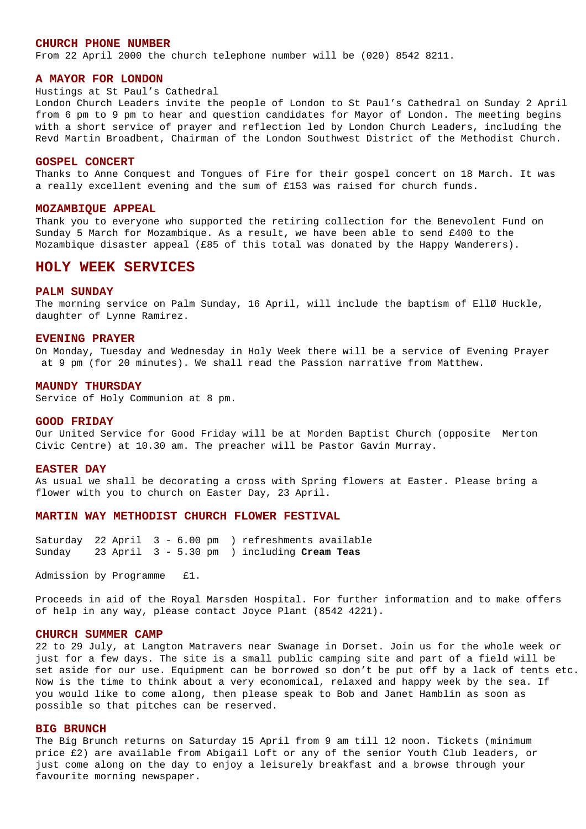### **CHURCH PHONE NUMBER**

From 22 April 2000 the church telephone number will be (020) 8542 8211.

### **A MAYOR FOR LONDON**

### Hustings at St Paul's Cathedral

London Church Leaders invite the people of London to St Paul's Cathedral on Sunday 2 April from 6 pm to 9 pm to hear and question candidates for Mayor of London. The meeting begins with a short service of prayer and reflection led by London Church Leaders, including the Revd Martin Broadbent, Chairman of the London Southwest District of the Methodist Church.

### **GOSPEL CONCERT**

Thanks to Anne Conquest and Tongues of Fire for their gospel concert on 18 March. It was a really excellent evening and the sum of £153 was raised for church funds.

### **MOZAMBIQUE APPEAL**

Thank you to everyone who supported the retiring collection for the Benevolent Fund on Sunday 5 March for Mozambique. As a result, we have been able to send £400 to the Mozambique disaster appeal (£85 of this total was donated by the Happy Wanderers).

## **HOLY WEEK SERVICES**

#### **PALM SUNDAY**

The morning service on Palm Sunday, 16 April, will include the baptism of EllØ Huckle, daughter of Lynne Ramirez.

#### **EVENING PRAYER**

On Monday, Tuesday and Wednesday in Holy Week there will be a service of Evening Prayer at 9 pm (for 20 minutes). We shall read the Passion narrative from Matthew.

### **MAUNDY THURSDAY**

Service of Holy Communion at 8 pm.

#### **GOOD FRIDAY**

Our United Service for Good Friday will be at Morden Baptist Church (opposite Merton Civic Centre) at 10.30 am. The preacher will be Pastor Gavin Murray.

### **EASTER DAY**

As usual we shall be decorating a cross with Spring flowers at Easter. Please bring a flower with you to church on Easter Day, 23 April.

### **MARTIN WAY METHODIST CHURCH FLOWER FESTIVAL**

Saturday 22 April 3 - 6.00 pm ) refreshments available Sunday 23 April 3 - 5.30 pm ) including **Cream Teas**

Admission by Programme £1.

Proceeds in aid of the Royal Marsden Hospital. For further information and to make offers of help in any way, please contact Joyce Plant (8542 4221).

### **CHURCH SUMMER CAMP**

22 to 29 July, at Langton Matravers near Swanage in Dorset. Join us for the whole week or just for a few days. The site is a small public camping site and part of a field will be set aside for our use. Equipment can be borrowed so don't be put off by a lack of tents etc. Now is the time to think about a very economical, relaxed and happy week by the sea. If you would like to come along, then please speak to Bob and Janet Hamblin as soon as possible so that pitches can be reserved.

### **BIG BRUNCH**

The Big Brunch returns on Saturday 15 April from 9 am till 12 noon. Tickets (minimum price £2) are available from Abigail Loft or any of the senior Youth Club leaders, or just come along on the day to enjoy a leisurely breakfast and a browse through your favourite morning newspaper.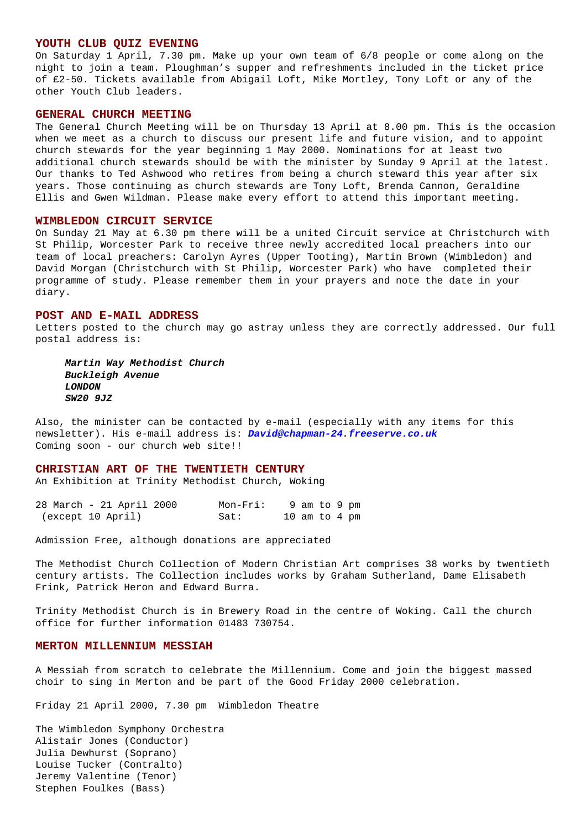### **YOUTH CLUB QUIZ EVENING**

On Saturday 1 April, 7.30 pm. Make up your own team of 6/8 people or come along on the night to join a team. Ploughman's supper and refreshments included in the ticket price of £2-50. Tickets available from Abigail Loft, Mike Mortley, Tony Loft or any of the other Youth Club leaders.

### **GENERAL CHURCH MEETING**

The General Church Meeting will be on Thursday 13 April at 8.00 pm. This is the occasion when we meet as a church to discuss our present life and future vision, and to appoint church stewards for the year beginning 1 May 2000. Nominations for at least two additional church stewards should be with the minister by Sunday 9 April at the latest. Our thanks to Ted Ashwood who retires from being a church steward this year after six years. Those continuing as church stewards are Tony Loft, Brenda Cannon, Geraldine Ellis and Gwen Wildman. Please make every effort to attend this important meeting.

### **WIMBLEDON CIRCUIT SERVICE**

On Sunday 21 May at 6.30 pm there will be a united Circuit service at Christchurch with St Philip, Worcester Park to receive three newly accredited local preachers into our team of local preachers: Carolyn Ayres (Upper Tooting), Martin Brown (Wimbledon) and David Morgan (Christchurch with St Philip, Worcester Park) who have completed their programme of study. Please remember them in your prayers and note the date in your diary.

#### **POST AND E-MAIL ADDRESS**

Letters posted to the church may go astray unless they are correctly addressed. Our full postal address is:

 **Martin Way Methodist Church Buckleigh Avenue LONDON SW20 9JZ**

Also, the minister can be contacted by e-mail (especially with any items for this newsletter). His e-mail address is: **David@chapman-24.freeserve.co.uk** Coming soon - our church web site!!

### **CHRISTIAN ART OF THE TWENTIETH CENTURY**

An Exhibition at Trinity Methodist Church, Woking

| 28 March - 21 April 2000 | $Mon-Fri:$ | 9 am to 9 pm    |  |  |
|--------------------------|------------|-----------------|--|--|
| (except 10 April)        | Sat:       | 10 am to 4 $pm$ |  |  |

Admission Free, although donations are appreciated

The Methodist Church Collection of Modern Christian Art comprises 38 works by twentieth century artists. The Collection includes works by Graham Sutherland, Dame Elisabeth Frink, Patrick Heron and Edward Burra.

Trinity Methodist Church is in Brewery Road in the centre of Woking. Call the church office for further information 01483 730754.

## **MERTON MILLENNIUM MESSIAH**

A Messiah from scratch to celebrate the Millennium. Come and join the biggest massed choir to sing in Merton and be part of the Good Friday 2000 celebration.

Friday 21 April 2000, 7.30 pm Wimbledon Theatre

The Wimbledon Symphony Orchestra Alistair Jones (Conductor) Julia Dewhurst (Soprano) Louise Tucker (Contralto) Jeremy Valentine (Tenor) Stephen Foulkes (Bass)